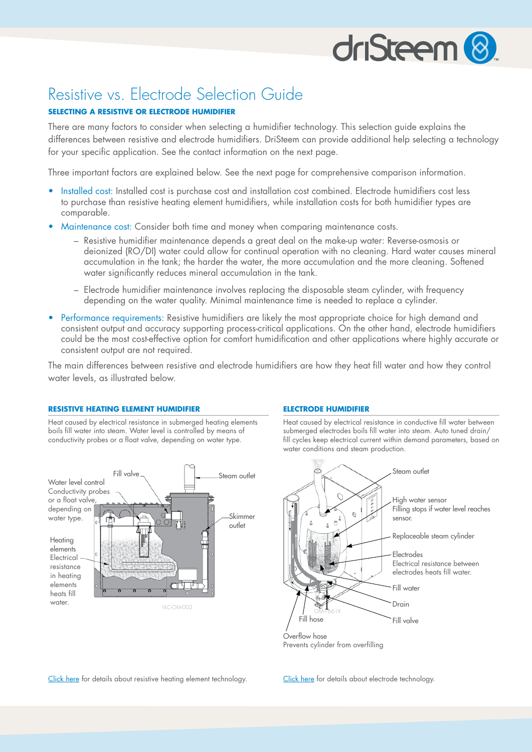# driSteem<sup>8</sup>

# Resistive vs. Electrode Selection Guide

## **SELECTING A RESISTIVE OR ELECTRODE HUMIDIFIER**

There are many factors to consider when selecting a humidifier technology. This selection guide explains the differences between resistive and electrode humidifiers. DriSteem can provide additional help selecting a technology for your specific application. See the contact information on the next page.

Three important factors are explained below. See the next page for comprehensive comparison information.

- Installed cost: Installed cost is purchase cost and installation cost combined. Electrode humidifiers cost less to purchase than resistive heating element humidifiers, while installation costs for both humidifier types are comparable.
- Maintenance cost: Consider both time and money when comparing maintenance costs.
	- Resistive humidifier maintenance depends a great deal on the make-up water: Reverse-osmosis or deionized (RO/DI) water could allow for continual operation with no cleaning. Hard water causes mineral accumulation in the tank; the harder the water, the more accumulation and the more cleaning. Softened water significantly reduces mineral accumulation in the tank.
	- Electrode humidifier maintenance involves replacing the disposable steam cylinder, with frequency depending on the water quality. Minimal maintenance time is needed to replace a cylinder.
- Performance requirements: Resistive humidifiers are likely the most appropriate choice for high demand and consistent output and accuracy supporting process-critical applications. On the other hand, electrode humidifiers could be the most cost-effective option for comfort humidification and other applications where highly accurate or consistent output are not required.

The main differences between resistive and electrode humidifiers are how they heat fill water and how they control water levels, as illustrated below.

### **RESISTIVE HEATING ELEMENT HUMIDIFIER**

Heat caused by electrical resistance in submerged heating elements boils fill water into steam. Water level is controlled by means of conductivity probes or a float valve, depending on water type.



### **ELECTRODE HUMIDIFIER**

Heat caused by electrical resistance in conductive fill water between submerged electrodes boils fill water into steam. Auto tuned drain/ fill cycles keep electrical current within demand parameters, based on water conditions and steam production.



[Click here](https://dristeem.azureedge.net/public-documents/docs/default-source/azure-public/catalog/xt-cat-en.pdf?sfvrsn=9b6f30f7_6) for details about resistive heating element technology. Click here for details about electrode technology.